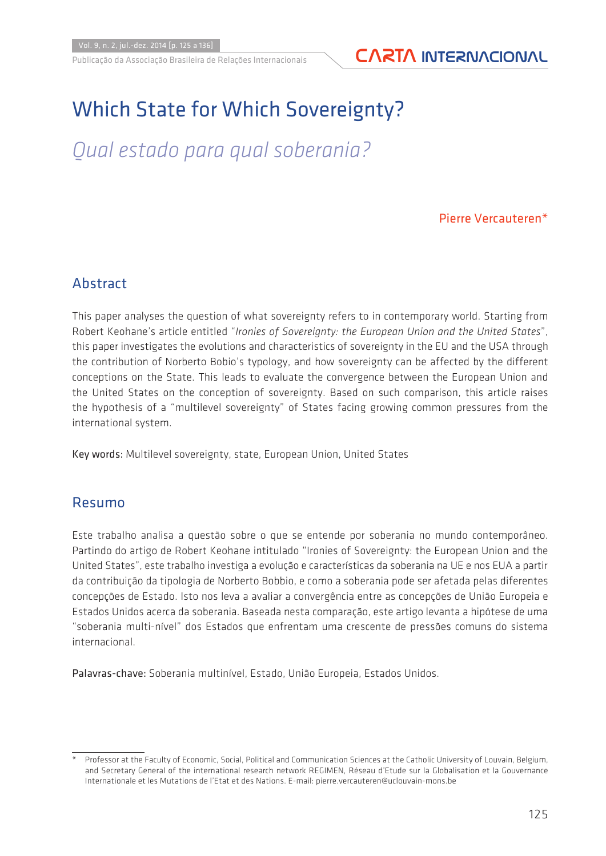### Publicação da Associação Brasileira de Relações Internacionais **CARTA INTERNACIONAL**

# Which State for Which Sovereignty?

# *Qual estado para qual soberania?*

#### Pierre Vercauteren\*

### Abstract

This paper analyses the question of what sovereignty refers to in contemporary world. Starting from Robert Keohane's article entitled "*Ironies of Sovereignty: the European Union and the United States*", this paper investigates the evolutions and characteristics of sovereignty in the EU and the USA through the contribution of Norberto Bobio's typology, and how sovereignty can be affected by the different conceptions on the State. This leads to evaluate the convergence between the European Union and the United States on the conception of sovereignty. Based on such comparison, this article raises the hypothesis of a "multilevel sovereignty" of States facing growing common pressures from the international system.

Key words: Multilevel sovereignty, state, European Union, United States

#### Resumo

Este trabalho analisa a questão sobre o que se entende por soberania no mundo contemporâneo. Partindo do artigo de Robert Keohane intitulado "Ironies of Sovereignty: the European Union and the United States", este trabalho investiga a evolução e características da soberania na UE e nos EUA a partir da contribuição da tipologia de Norberto Bobbio, e como a soberania pode ser afetada pelas diferentes concepções de Estado. Isto nos leva a avaliar a convergência entre as concepções de União Europeia e Estados Unidos acerca da soberania. Baseada nesta comparação, este artigo levanta a hipótese de uma "soberania multi-nível" dos Estados que enfrentam uma crescente de pressões comuns do sistema internacional.

Palavras-chave: Soberania multinível, Estado, União Europeia, Estados Unidos.

Professor at the Faculty of Economic, Social, Political and Communication Sciences at the Catholic University of Louvain, Belgium, and Secretary General of the international research network REGIMEN, Réseau d'Etude sur la Globalisation et la Gouvernance Internationale et les Mutations de l'Etat et des Nations. E-mail: pierre.vercauteren@uclouvain-mons.be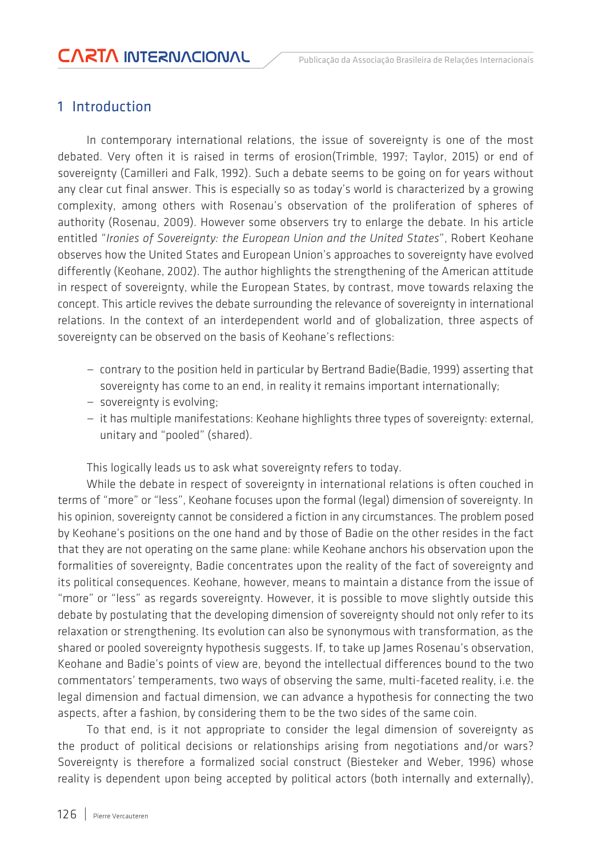### 1 Introduction

In contemporary international relations, the issue of sovereignty is one of the most debated. Very often it is raised in terms of erosion(Trimble, 1997; Taylor, 2015) or end of sovereignty (Camilleri and Falk, 1992). Such a debate seems to be going on for years without any clear cut final answer. This is especially so as today's world is characterized by a growing complexity, among others with Rosenau's observation of the proliferation of spheres of authority (Rosenau, 2009). However some observers try to enlarge the debate. In his article entitled "*Ironies of Sovereignty: the European Union and the United States*", Robert Keohane observes how the United States and European Union's approaches to sovereignty have evolved differently (Keohane, 2002). The author highlights the strengthening of the American attitude in respect of sovereignty, while the European States, by contrast, move towards relaxing the concept. This article revives the debate surrounding the relevance of sovereignty in international relations. In the context of an interdependent world and of globalization, three aspects of sovereignty can be observed on the basis of Keohane's reflections:

- contrary to the position held in particular by Bertrand Badie(Badie, 1999) asserting that sovereignty has come to an end, in reality it remains important internationally;
- sovereignty is evolving;
- it has multiple manifestations: Keohane highlights three types of sovereignty: external, unitary and "pooled" (shared).

This logically leads us to ask what sovereignty refers to today.

While the debate in respect of sovereignty in international relations is often couched in terms of "more" or "less", Keohane focuses upon the formal (legal) dimension of sovereignty. In his opinion, sovereignty cannot be considered a fiction in any circumstances. The problem posed by Keohane's positions on the one hand and by those of Badie on the other resides in the fact that they are not operating on the same plane: while Keohane anchors his observation upon the formalities of sovereignty, Badie concentrates upon the reality of the fact of sovereignty and its political consequences. Keohane, however, means to maintain a distance from the issue of "more" or "less" as regards sovereignty. However, it is possible to move slightly outside this debate by postulating that the developing dimension of sovereignty should not only refer to its relaxation or strengthening. Its evolution can also be synonymous with transformation, as the shared or pooled sovereignty hypothesis suggests. If, to take up James Rosenau's observation, Keohane and Badie's points of view are, beyond the intellectual differences bound to the two commentators' temperaments, two ways of observing the same, multi-faceted reality, i.e. the legal dimension and factual dimension, we can advance a hypothesis for connecting the two aspects, after a fashion, by considering them to be the two sides of the same coin.

To that end, is it not appropriate to consider the legal dimension of sovereignty as the product of political decisions or relationships arising from negotiations and/or wars? Sovereignty is therefore a formalized social construct (Biesteker and Weber, 1996) whose reality is dependent upon being accepted by political actors (both internally and externally),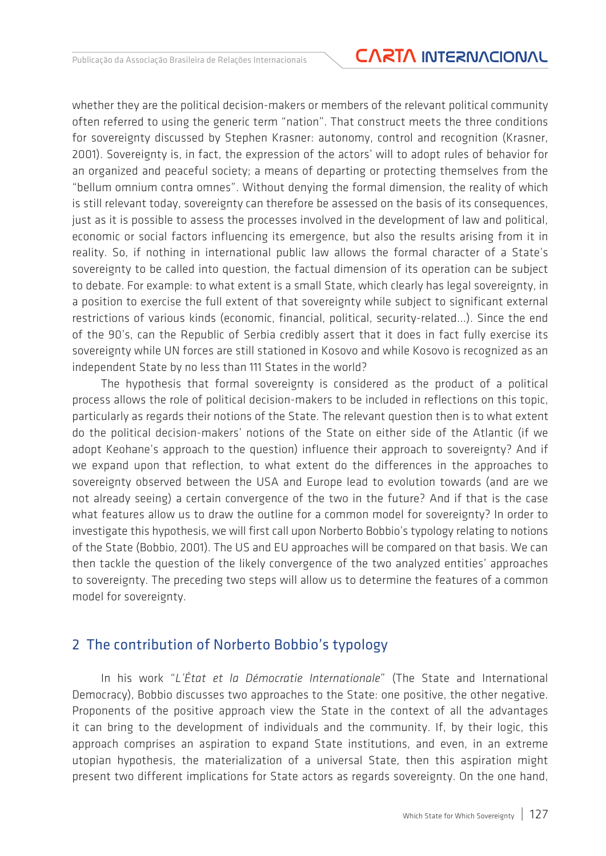### Publicação da Associação Brasileira de Relações Internacionais **CARTA INTERNACIONAL**

whether they are the political decision-makers or members of the relevant political community often referred to using the generic term "nation". That construct meets the three conditions for sovereignty discussed by Stephen Krasner: autonomy, control and recognition (Krasner, 2001). Sovereignty is, in fact, the expression of the actors' will to adopt rules of behavior for an organized and peaceful society; a means of departing or protecting themselves from the "bellum omnium contra omnes". Without denying the formal dimension, the reality of which is still relevant today, sovereignty can therefore be assessed on the basis of its consequences, just as it is possible to assess the processes involved in the development of law and political, economic or social factors influencing its emergence, but also the results arising from it in reality. So, if nothing in international public law allows the formal character of a State's sovereignty to be called into question, the factual dimension of its operation can be subject to debate. For example: to what extent is a small State, which clearly has legal sovereignty, in a position to exercise the full extent of that sovereignty while subject to significant external restrictions of various kinds (economic, financial, political, security-related...). Since the end of the 90's, can the Republic of Serbia credibly assert that it does in fact fully exercise its sovereignty while UN forces are still stationed in Kosovo and while Kosovo is recognized as an independent State by no less than 111 States in the world?

The hypothesis that formal sovereignty is considered as the product of a political process allows the role of political decision-makers to be included in reflections on this topic, particularly as regards their notions of the State. The relevant question then is to what extent do the political decision-makers' notions of the State on either side of the Atlantic (if we adopt Keohane's approach to the question) influence their approach to sovereignty? And if we expand upon that reflection, to what extent do the differences in the approaches to sovereignty observed between the USA and Europe lead to evolution towards (and are we not already seeing) a certain convergence of the two in the future? And if that is the case what features allow us to draw the outline for a common model for sovereignty? In order to investigate this hypothesis, we will first call upon Norberto Bobbio's typology relating to notions of the State (Bobbio, 2001). The US and EU approaches will be compared on that basis. We can then tackle the question of the likely convergence of the two analyzed entities' approaches to sovereignty. The preceding two steps will allow us to determine the features of a common model for sovereignty.

#### 2 The contribution of Norberto Bobbio's typology

In his work "*L'État et la Démocratie Internationale*" (The State and International Democracy), Bobbio discusses two approaches to the State: one positive, the other negative. Proponents of the positive approach view the State in the context of all the advantages it can bring to the development of individuals and the community. If, by their logic, this approach comprises an aspiration to expand State institutions, and even, in an extreme utopian hypothesis, the materialization of a universal State, then this aspiration might present two different implications for State actors as regards sovereignty. On the one hand,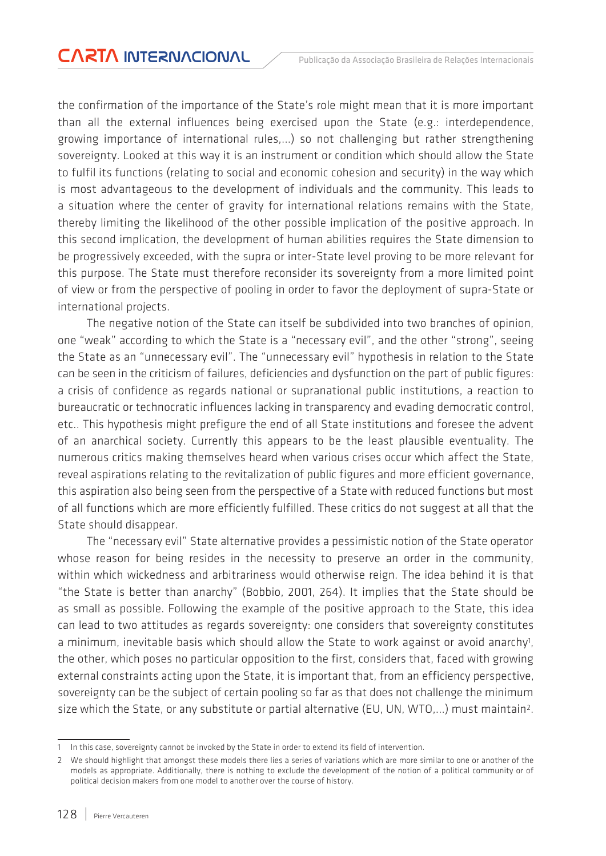the confirmation of the importance of the State's role might mean that it is more important than all the external influences being exercised upon the State (e.g.: interdependence, growing importance of international rules,...) so not challenging but rather strengthening sovereignty. Looked at this way it is an instrument or condition which should allow the State to fulfil its functions (relating to social and economic cohesion and security) in the way which is most advantageous to the development of individuals and the community. This leads to a situation where the center of gravity for international relations remains with the State, thereby limiting the likelihood of the other possible implication of the positive approach. In this second implication, the development of human abilities requires the State dimension to be progressively exceeded, with the supra or inter-State level proving to be more relevant for this purpose. The State must therefore reconsider its sovereignty from a more limited point of view or from the perspective of pooling in order to favor the deployment of supra-State or international projects.

The negative notion of the State can itself be subdivided into two branches of opinion, one "weak" according to which the State is a "necessary evil", and the other "strong", seeing the State as an "unnecessary evil". The "unnecessary evil" hypothesis in relation to the State can be seen in the criticism of failures, deficiencies and dysfunction on the part of public figures: a crisis of confidence as regards national or supranational public institutions, a reaction to bureaucratic or technocratic influences lacking in transparency and evading democratic control, etc.. This hypothesis might prefigure the end of all State institutions and foresee the advent of an anarchical society. Currently this appears to be the least plausible eventuality. The numerous critics making themselves heard when various crises occur which affect the State, reveal aspirations relating to the revitalization of public figures and more efficient governance, this aspiration also being seen from the perspective of a State with reduced functions but most of all functions which are more efficiently fulfilled. These critics do not suggest at all that the State should disappear.

The "necessary evil" State alternative provides a pessimistic notion of the State operator whose reason for being resides in the necessity to preserve an order in the community, within which wickedness and arbitrariness would otherwise reign. The idea behind it is that "the State is better than anarchy" (Bobbio, 2001, 264). It implies that the State should be as small as possible. Following the example of the positive approach to the State, this idea can lead to two attitudes as regards sovereignty: one considers that sovereignty constitutes a minimum, inevitable basis which should allow the State to work against or avoid anarchy<sup>1</sup>, the other, which poses no particular opposition to the first, considers that, faced with growing external constraints acting upon the State, it is important that, from an efficiency perspective, sovereignty can be the subject of certain pooling so far as that does not challenge the minimum size which the State, or any substitute or partial alternative (EU, UN, WTO,...) must maintain2.

<sup>1</sup> In this case, sovereignty cannot be invoked by the State in order to extend its field of intervention.

<sup>2</sup> We should highlight that amongst these models there lies a series of variations which are more similar to one or another of the models as appropriate. Additionally, there is nothing to exclude the development of the notion of a political community or of political decision makers from one model to another over the course of history.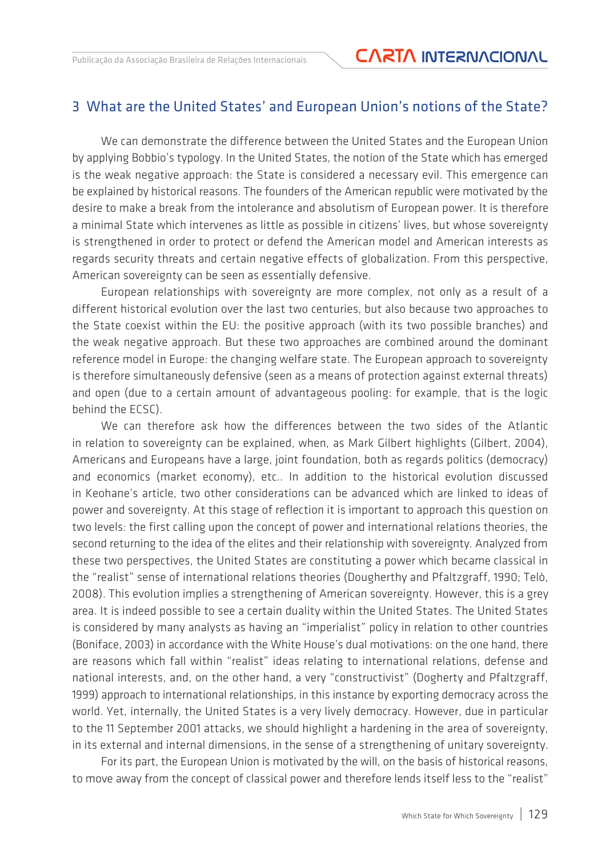#### 3 What are the United States' and European Union's notions of the State?

We can demonstrate the difference between the United States and the European Union by applying Bobbio's typology. In the United States, the notion of the State which has emerged is the weak negative approach: the State is considered a necessary evil. This emergence can be explained by historical reasons. The founders of the American republic were motivated by the desire to make a break from the intolerance and absolutism of European power. It is therefore a minimal State which intervenes as little as possible in citizens' lives, but whose sovereignty is strengthened in order to protect or defend the American model and American interests as regards security threats and certain negative effects of globalization. From this perspective, American sovereignty can be seen as essentially defensive.

European relationships with sovereignty are more complex, not only as a result of a different historical evolution over the last two centuries, but also because two approaches to the State coexist within the EU: the positive approach (with its two possible branches) and the weak negative approach. But these two approaches are combined around the dominant reference model in Europe: the changing welfare state. The European approach to sovereignty is therefore simultaneously defensive (seen as a means of protection against external threats) and open (due to a certain amount of advantageous pooling: for example, that is the logic behind the ECSC).

We can therefore ask how the differences between the two sides of the Atlantic in relation to sovereignty can be explained, when, as Mark Gilbert highlights (Gilbert, 2004), Americans and Europeans have a large, joint foundation, both as regards politics (democracy) and economics (market economy), etc.. In addition to the historical evolution discussed in Keohane's article, two other considerations can be advanced which are linked to ideas of power and sovereignty. At this stage of reflection it is important to approach this question on two levels: the first calling upon the concept of power and international relations theories, the second returning to the idea of the elites and their relationship with sovereignty. Analyzed from these two perspectives, the United States are constituting a power which became classical in the "realist" sense of international relations theories (Dougherthy and Pfaltzgraff, 1990; Telò, 2008). This evolution implies a strengthening of American sovereignty. However, this is a grey area. It is indeed possible to see a certain duality within the United States. The United States is considered by many analysts as having an "imperialist" policy in relation to other countries (Boniface, 2003) in accordance with the White House's dual motivations: on the one hand, there are reasons which fall within "realist" ideas relating to international relations, defense and national interests, and, on the other hand, a very "constructivist" (Dogherty and Pfaltzgraff, 1999) approach to international relationships, in this instance by exporting democracy across the world. Yet, internally, the United States is a very lively democracy. However, due in particular to the 11 September 2001 attacks, we should highlight a hardening in the area of sovereignty, in its external and internal dimensions, in the sense of a strengthening of unitary sovereignty.

For its part, the European Union is motivated by the will, on the basis of historical reasons, to move away from the concept of classical power and therefore lends itself less to the "realist"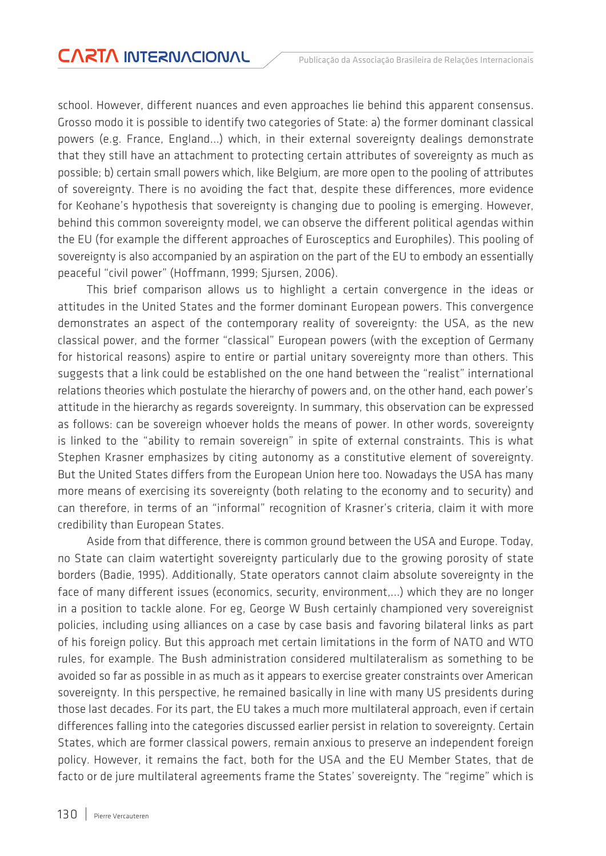school. However, different nuances and even approaches lie behind this apparent consensus. Grosso modo it is possible to identify two categories of State: a) the former dominant classical powers (e.g. France, England...) which, in their external sovereignty dealings demonstrate that they still have an attachment to protecting certain attributes of sovereignty as much as possible; b) certain small powers which, like Belgium, are more open to the pooling of attributes of sovereignty. There is no avoiding the fact that, despite these differences, more evidence for Keohane's hypothesis that sovereignty is changing due to pooling is emerging. However, behind this common sovereignty model, we can observe the different political agendas within the EU (for example the different approaches of Eurosceptics and Europhiles). This pooling of sovereignty is also accompanied by an aspiration on the part of the EU to embody an essentially peaceful "civil power" (Hoffmann, 1999; Sjursen, 2006).

This brief comparison allows us to highlight a certain convergence in the ideas or attitudes in the United States and the former dominant European powers. This convergence demonstrates an aspect of the contemporary reality of sovereignty: the USA, as the new classical power, and the former "classical" European powers (with the exception of Germany for historical reasons) aspire to entire or partial unitary sovereignty more than others. This suggests that a link could be established on the one hand between the "realist" international relations theories which postulate the hierarchy of powers and, on the other hand, each power's attitude in the hierarchy as regards sovereignty. In summary, this observation can be expressed as follows: can be sovereign whoever holds the means of power. In other words, sovereignty is linked to the "ability to remain sovereign" in spite of external constraints. This is what Stephen Krasner emphasizes by citing autonomy as a constitutive element of sovereignty. But the United States differs from the European Union here too. Nowadays the USA has many more means of exercising its sovereignty (both relating to the economy and to security) and can therefore, in terms of an "informal" recognition of Krasner's criteria, claim it with more credibility than European States.

Aside from that difference, there is common ground between the USA and Europe. Today, no State can claim watertight sovereignty particularly due to the growing porosity of state borders (Badie, 1995). Additionally, State operators cannot claim absolute sovereignty in the face of many different issues (economics, security, environment,...) which they are no longer in a position to tackle alone. For eg, George W Bush certainly championed very sovereignist policies, including using alliances on a case by case basis and favoring bilateral links as part of his foreign policy. But this approach met certain limitations in the form of NATO and WTO rules, for example. The Bush administration considered multilateralism as something to be avoided so far as possible in as much as it appears to exercise greater constraints over American sovereignty. In this perspective, he remained basically in line with many US presidents during those last decades. For its part, the EU takes a much more multilateral approach, even if certain differences falling into the categories discussed earlier persist in relation to sovereignty. Certain States, which are former classical powers, remain anxious to preserve an independent foreign policy. However, it remains the fact, both for the USA and the EU Member States, that de facto or de jure multilateral agreements frame the States' sovereignty. The "regime" which is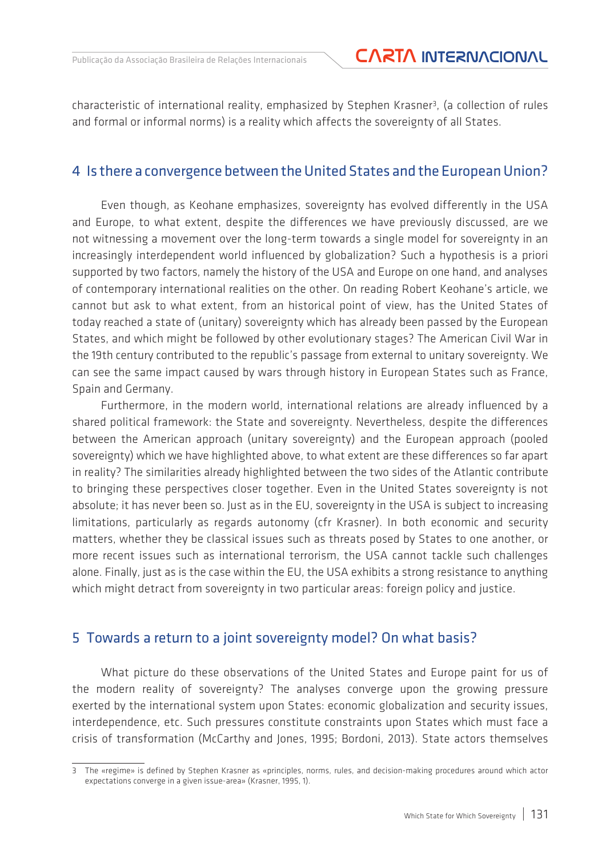characteristic of international reality, emphasized by Stephen Krasner3, (a collection of rules and formal or informal norms) is a reality which affects the sovereignty of all States.

#### 4 Is there a convergence between the United States and the European Union?

Even though, as Keohane emphasizes, sovereignty has evolved differently in the USA and Europe, to what extent, despite the differences we have previously discussed, are we not witnessing a movement over the long-term towards a single model for sovereignty in an increasingly interdependent world influenced by globalization? Such a hypothesis is a priori supported by two factors, namely the history of the USA and Europe on one hand, and analyses of contemporary international realities on the other. On reading Robert Keohane's article, we cannot but ask to what extent, from an historical point of view, has the United States of today reached a state of (unitary) sovereignty which has already been passed by the European States, and which might be followed by other evolutionary stages? The American Civil War in the 19th century contributed to the republic's passage from external to unitary sovereignty. We can see the same impact caused by wars through history in European States such as France, Spain and Germany.

Furthermore, in the modern world, international relations are already influenced by a shared political framework: the State and sovereignty. Nevertheless, despite the differences between the American approach (unitary sovereignty) and the European approach (pooled sovereignty) which we have highlighted above, to what extent are these differences so far apart in reality? The similarities already highlighted between the two sides of the Atlantic contribute to bringing these perspectives closer together. Even in the United States sovereignty is not absolute; it has never been so. Just as in the EU, sovereignty in the USA is subject to increasing limitations, particularly as regards autonomy (cfr Krasner). In both economic and security matters, whether they be classical issues such as threats posed by States to one another, or more recent issues such as international terrorism, the USA cannot tackle such challenges alone. Finally, just as is the case within the EU, the USA exhibits a strong resistance to anything which might detract from sovereignty in two particular areas: foreign policy and justice.

#### 5 Towards a return to a joint sovereignty model? On what basis?

What picture do these observations of the United States and Europe paint for us of the modern reality of sovereignty? The analyses converge upon the growing pressure exerted by the international system upon States: economic globalization and security issues, interdependence, etc. Such pressures constitute constraints upon States which must face a crisis of transformation (McCarthy and Jones, 1995; Bordoni, 2013). State actors themselves

<sup>3</sup> The «regime» is defined by Stephen Krasner as «principles, norms, rules, and decision-making procedures around which actor expectations converge in a given issue-area» (Krasner, 1995, 1).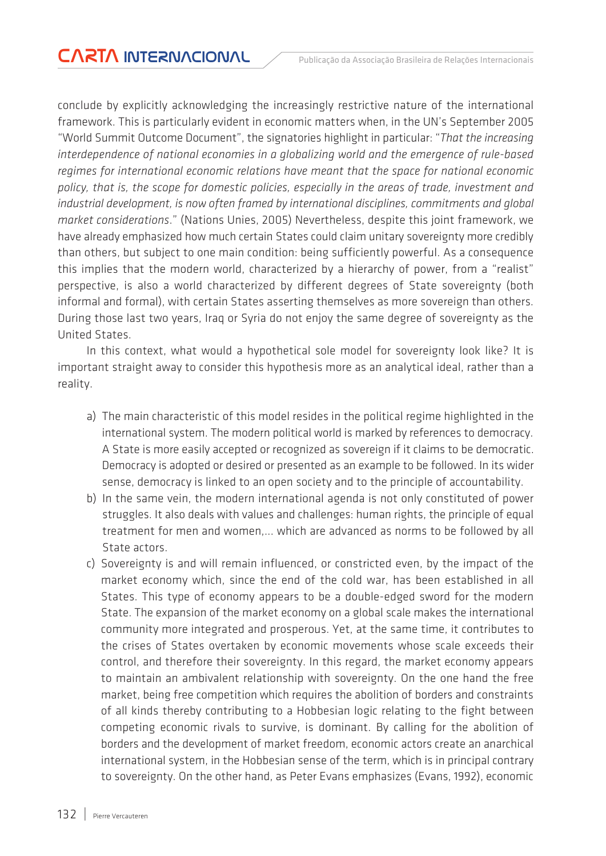conclude by explicitly acknowledging the increasingly restrictive nature of the international framework. This is particularly evident in economic matters when, in the UN's September 2005 "World Summit Outcome Document", the signatories highlight in particular: "*That the increasing interdependence of national economies in a globalizing world and the emergence of rule-based regimes for international economic relations have meant that the space for national economic policy, that is, the scope for domestic policies, especially in the areas of trade, investment and industrial development, is now often framed by international disciplines, commitments and global market considerations*." (Nations Unies, 2005) Nevertheless, despite this joint framework, we have already emphasized how much certain States could claim unitary sovereignty more credibly than others, but subject to one main condition: being sufficiently powerful. As a consequence this implies that the modern world, characterized by a hierarchy of power, from a "realist" perspective, is also a world characterized by different degrees of State sovereignty (both informal and formal), with certain States asserting themselves as more sovereign than others. During those last two years, Iraq or Syria do not enjoy the same degree of sovereignty as the United States.

In this context, what would a hypothetical sole model for sovereignty look like? It is important straight away to consider this hypothesis more as an analytical ideal, rather than a reality.

- a) The main characteristic of this model resides in the political regime highlighted in the international system. The modern political world is marked by references to democracy. A State is more easily accepted or recognized as sovereign if it claims to be democratic. Democracy is adopted or desired or presented as an example to be followed. In its wider sense, democracy is linked to an open society and to the principle of accountability.
- b) In the same vein, the modern international agenda is not only constituted of power struggles. It also deals with values and challenges: human rights, the principle of equal treatment for men and women,... which are advanced as norms to be followed by all State actors.
- c) Sovereignty is and will remain influenced, or constricted even, by the impact of the market economy which, since the end of the cold war, has been established in all States. This type of economy appears to be a double-edged sword for the modern State. The expansion of the market economy on a global scale makes the international community more integrated and prosperous. Yet, at the same time, it contributes to the crises of States overtaken by economic movements whose scale exceeds their control, and therefore their sovereignty. In this regard, the market economy appears to maintain an ambivalent relationship with sovereignty. On the one hand the free market, being free competition which requires the abolition of borders and constraints of all kinds thereby contributing to a Hobbesian logic relating to the fight between competing economic rivals to survive, is dominant. By calling for the abolition of borders and the development of market freedom, economic actors create an anarchical international system, in the Hobbesian sense of the term, which is in principal contrary to sovereignty. On the other hand, as Peter Evans emphasizes (Evans, 1992), economic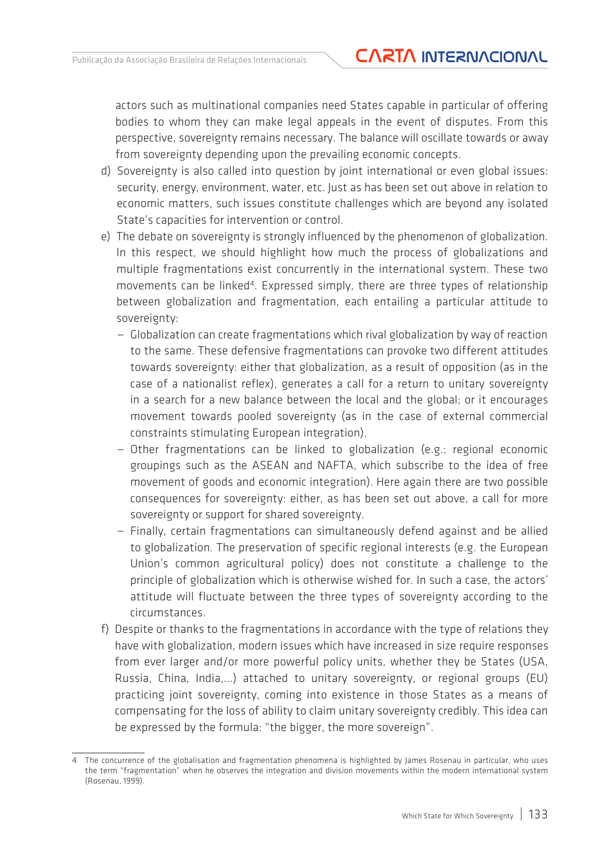actors such as multinational companies need States capable in particular of offering bodies to whom they can make legal appeals in the event of disputes. From this perspective, sovereignty remains necessary. The balance will oscillate towards or away from sovereignty depending upon the prevailing economic concepts.

- d) Sovereignty is also called into question by joint international or even global issues: security, energy, environment, water, etc. Just as has been set out above in relation to economic matters, such issues constitute challenges which are beyond any isolated State's capacities for intervention or control.
- e) The debate on sovereignty is strongly influenced by the phenomenon of globalization. In this respect, we should highlight how much the process of globalizations and multiple fragmentations exist concurrently in the international system. These two movements can be linked<sup>4</sup>. Expressed simply, there are three types of relationship between globalization and fragmentation, each entailing a particular attitude to sovereignty:
	- Globalization can create fragmentations which rival globalization by way of reaction to the same. These defensive fragmentations can provoke two different attitudes towards sovereignty: either that globalization, as a result of opposition (as in the case of a nationalist reflex), generates a call for a return to unitary sovereignty in a search for a new balance between the local and the global; or it encourages movement towards pooled sovereignty (as in the case of external commercial constraints stimulating European integration).
	- Other fragmentations can be linked to globalization (e.g.: regional economic groupings such as the ASEAN and NAFTA, which subscribe to the idea of free movement of goods and economic integration). Here again there are two possible consequences for sovereignty: either, as has been set out above, a call for more sovereignty or support for shared sovereignty.
	- Finally, certain fragmentations can simultaneously defend against and be allied to globalization. The preservation of specific regional interests (e.g. the European Union's common agricultural policy) does not constitute a challenge to the principle of globalization which is otherwise wished for. In such a case, the actors' attitude will fluctuate between the three types of sovereignty according to the circumstances.
- f) Despite or thanks to the fragmentations in accordance with the type of relations they have with globalization, modern issues which have increased in size require responses from ever larger and/or more powerful policy units, whether they be States (USA, Russia, China, India,...) attached to unitary sovereignty, or regional groups (EU) practicing joint sovereignty, coming into existence in those States as a means of compensating for the loss of ability to claim unitary sovereignty credibly. This idea can be expressed by the formula: "the bigger, the more sovereign".

<sup>4</sup> The concurrence of the globalisation and fragmentation phenomena is highlighted by James Rosenau in particular, who uses the term "fragmentation" when he observes the integration and division movements within the modern international system (Rosenau, 1999).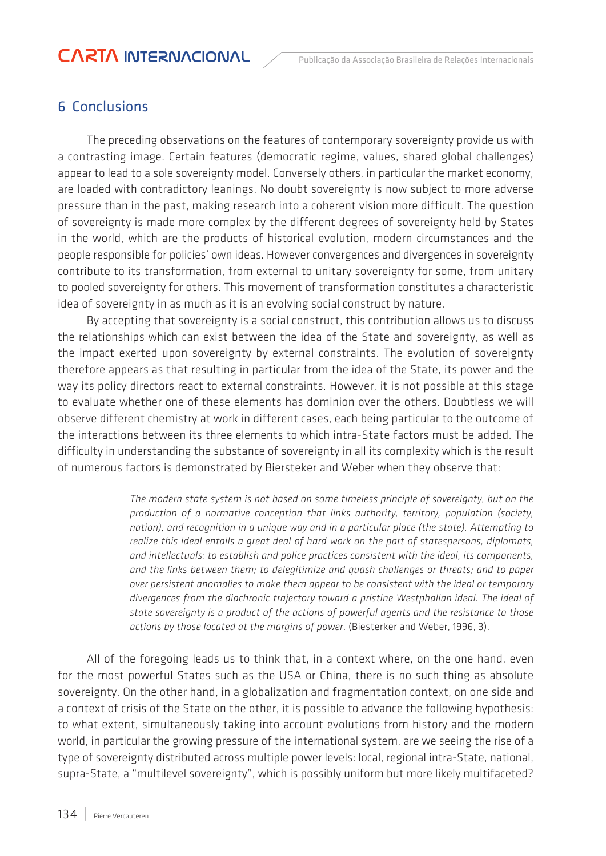### 6 Conclusions

The preceding observations on the features of contemporary sovereignty provide us with a contrasting image. Certain features (democratic regime, values, shared global challenges) appear to lead to a sole sovereignty model. Conversely others, in particular the market economy, are loaded with contradictory leanings. No doubt sovereignty is now subject to more adverse pressure than in the past, making research into a coherent vision more difficult. The question of sovereignty is made more complex by the different degrees of sovereignty held by States in the world, which are the products of historical evolution, modern circumstances and the people responsible for policies' own ideas. However convergences and divergences in sovereignty contribute to its transformation, from external to unitary sovereignty for some, from unitary to pooled sovereignty for others. This movement of transformation constitutes a characteristic idea of sovereignty in as much as it is an evolving social construct by nature.

By accepting that sovereignty is a social construct, this contribution allows us to discuss the relationships which can exist between the idea of the State and sovereignty, as well as the impact exerted upon sovereignty by external constraints. The evolution of sovereignty therefore appears as that resulting in particular from the idea of the State, its power and the way its policy directors react to external constraints. However, it is not possible at this stage to evaluate whether one of these elements has dominion over the others. Doubtless we will observe different chemistry at work in different cases, each being particular to the outcome of the interactions between its three elements to which intra-State factors must be added. The difficulty in understanding the substance of sovereignty in all its complexity which is the result of numerous factors is demonstrated by Biersteker and Weber when they observe that:

> *The modern state system is not based on some timeless principle of sovereignty, but on the production of a normative conception that links authority, territory, population (society, nation), and recognition in a unique way and in a particular place (the state). Attempting to realize this ideal entails a great deal of hard work on the part of statespersons, diplomats, and intellectuals: to establish and police practices consistent with the ideal, its components, and the links between them; to delegitimize and quash challenges or threats; and to paper over persistent anomalies to make them appear to be consistent with the ideal or temporary divergences from the diachronic trajectory toward a pristine Westphalian ideal. The ideal of state sovereignty is a product of the actions of powerful agents and the resistance to those actions by those located at the margins of power*. (Biesterker and Weber, 1996, 3).

All of the foregoing leads us to think that, in a context where, on the one hand, even for the most powerful States such as the USA or China, there is no such thing as absolute sovereignty. On the other hand, in a globalization and fragmentation context, on one side and a context of crisis of the State on the other, it is possible to advance the following hypothesis: to what extent, simultaneously taking into account evolutions from history and the modern world, in particular the growing pressure of the international system, are we seeing the rise of a type of sovereignty distributed across multiple power levels: local, regional intra-State, national, supra-State, a "multilevel sovereignty", which is possibly uniform but more likely multifaceted?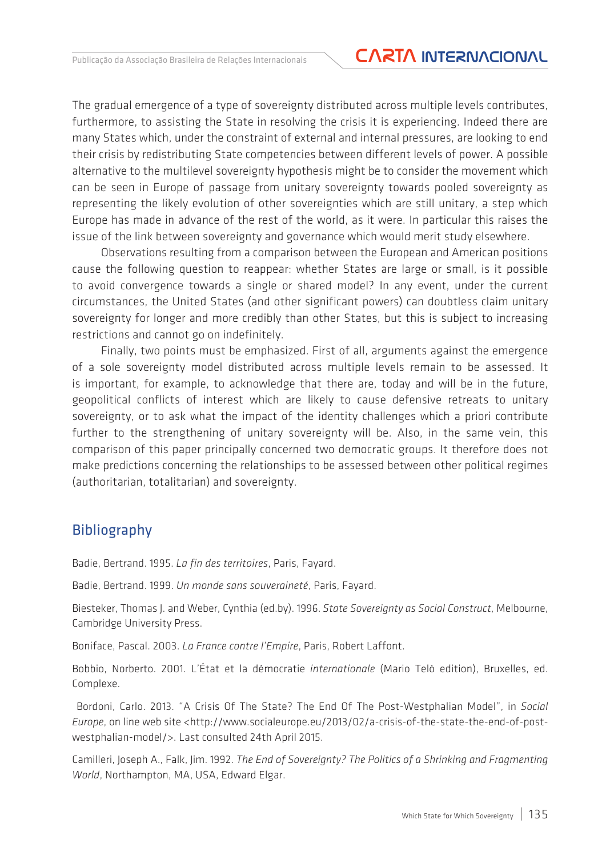The gradual emergence of a type of sovereignty distributed across multiple levels contributes, furthermore, to assisting the State in resolving the crisis it is experiencing. Indeed there are many States which, under the constraint of external and internal pressures, are looking to end their crisis by redistributing State competencies between different levels of power. A possible alternative to the multilevel sovereignty hypothesis might be to consider the movement which can be seen in Europe of passage from unitary sovereignty towards pooled sovereignty as representing the likely evolution of other sovereignties which are still unitary, a step which Europe has made in advance of the rest of the world, as it were. In particular this raises the issue of the link between sovereignty and governance which would merit study elsewhere.

Observations resulting from a comparison between the European and American positions cause the following question to reappear: whether States are large or small, is it possible to avoid convergence towards a single or shared model? In any event, under the current circumstances, the United States (and other significant powers) can doubtless claim unitary sovereignty for longer and more credibly than other States, but this is subject to increasing restrictions and cannot go on indefinitely.

Finally, two points must be emphasized. First of all, arguments against the emergence of a sole sovereignty model distributed across multiple levels remain to be assessed. It is important, for example, to acknowledge that there are, today and will be in the future, geopolitical conflicts of interest which are likely to cause defensive retreats to unitary sovereignty, or to ask what the impact of the identity challenges which a priori contribute further to the strengthening of unitary sovereignty will be. Also, in the same vein, this comparison of this paper principally concerned two democratic groups. It therefore does not make predictions concerning the relationships to be assessed between other political regimes (authoritarian, totalitarian) and sovereignty.

#### Bibliography

Badie, Bertrand. 1995. *La fin des territoires*, Paris, Fayard.

Badie, Bertrand. 1999. *Un monde sans souveraineté*, Paris, Fayard.

Biesteker, Thomas J. and Weber, Cynthia (ed.by). 1996. *State Sovereignty as Social Construct*, Melbourne, Cambridge University Press.

Boniface, Pascal. 2003. *La France contre l'Empire*, Paris, Robert Laffont.

Bobbio, Norberto. 2001. L'État et la démocratie *internationale* (Mario Telò edition), Bruxelles, ed. Complexe.

 Bordoni, Carlo. 2013. "A Crisis Of The State? The End Of The Post-Westphalian Model", in *Social Europe*, on line web site <http://www.socialeurope.eu/2013/02/a-crisis-of-the-state-the-end-of-postwestphalian-model/>. Last consulted 24th April 2015.

Camilleri, Joseph A., Falk, Jim. 1992. *The End of Sovereignty? The Politics of a Shrinking and Fragmenting World*, Northampton, MA, USA, Edward Elgar.